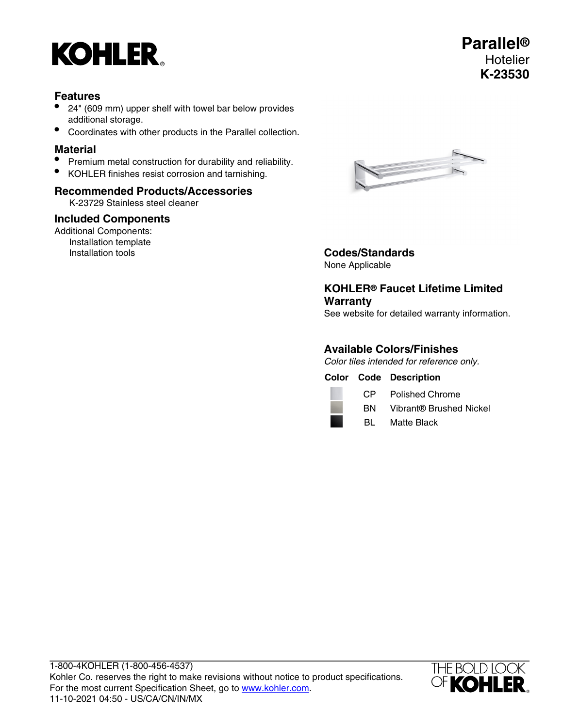# **KOHLER**

- 24" (609 mm) upper shelf with towel bar below provides additional storage.
- Coordinates with other products in the Parallel collection.

# **Material**

- Premium metal construction for durability and reliability.
- KOHLER finishes resist corrosion and tarnishing.

## **Recommended Products/Accessories**

K-23729 Stainless steel cleaner

## **Included Components**

Additional Components: Installation template<br>Installation tools



**Codes/Standards** None Applicable

# **KOHLER® Faucet Lifetime Limited Warranty**

See website for detailed warranty information.

## **Available Colors/Finishes**

Color tiles intended for reference only.

**Color Code Description**



CP Polished Chrome

BN Vibrant® Brushed Nickel

BL Matte Black

1-800-4KOHLER (1-800-456-4537) Kohler Co. reserves the right to make revisions without notice to product specifications. For the most current Specification Sheet, go to [www.kohler.com](http://www.kohler.com). 11-10-2021 04:50 - US/CA/CN/IN/MX